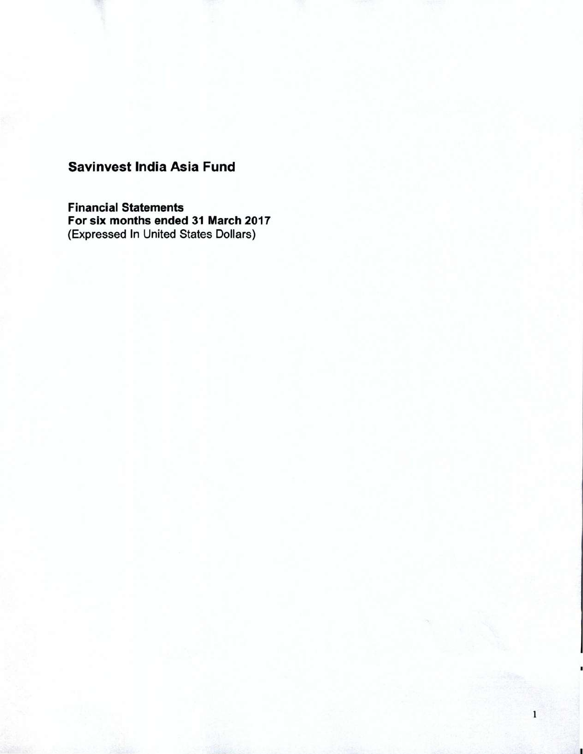**Financial Statements For six months ended 31 March 2017**  (Expressed In United States Dollars)

1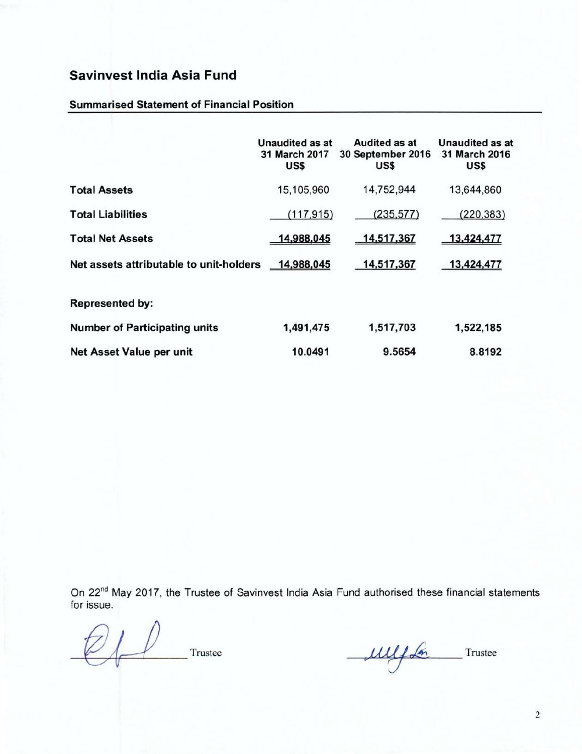### **Summarised Statement of Financial Position**

|                                         | Unaudited as at<br>31 March 2017<br>US\$ | Audited as at<br>30 September 2016<br>US\$ | Unaudited as at<br>31 March 2016<br>US\$ |
|-----------------------------------------|------------------------------------------|--------------------------------------------|------------------------------------------|
| <b>Total Assets</b>                     | 15,105,960                               | 14,752,944                                 | 13,644,860                               |
| <b>Total Liabilities</b>                | (117, 915)                               | (235, 577)                                 | (220, 383)                               |
| <b>Total Net Assets</b>                 | 14,988,045                               | 14,517,367                                 | 13,424,477                               |
| Net assets attributable to unit-holders | 14,988,045                               | 14,517,367                                 | 13,424,477                               |
| <b>Represented by:</b>                  |                                          |                                            |                                          |
| <b>Number of Participating units</b>    | 1,491,475                                | 1,517,703                                  | 1,522,185                                |
| Net Asset Value per unit                | 10.0491                                  | 9.5654                                     | 8.8192                                   |

On 22<sup>nd</sup> May 2017, the Trustee of Savinvest India Asia Fund authorised these financial statements for issue.

Trustee Mulfon Trustee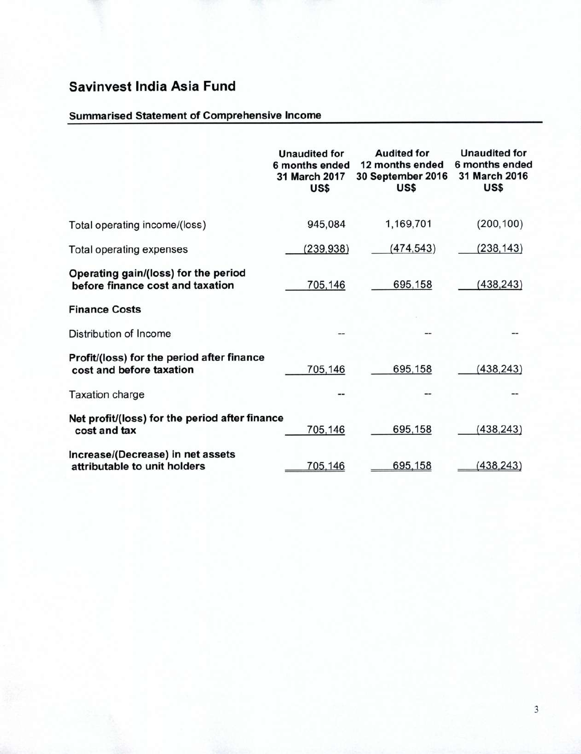### **Summarised Statement of Comprehensive Income**

|                                                                          | <b>Unaudited for</b><br>6 months ended<br>31 March 2017<br>US\$ | <b>Audited for</b><br>12 months ended<br>30 September 2016<br>US\$ | <b>Unaudited for</b><br>6 months ended<br>31 March 2016<br>US\$ |
|--------------------------------------------------------------------------|-----------------------------------------------------------------|--------------------------------------------------------------------|-----------------------------------------------------------------|
| Total operating income/(loss)                                            | 945,084                                                         | 1,169,701                                                          | (200, 100)                                                      |
| Total operating expenses                                                 | (239, 938)                                                      | (474, 543)                                                         | (238, 143)                                                      |
| Operating gain/(loss) for the period<br>before finance cost and taxation | 705,146                                                         | 695,158                                                            | (438, 243)                                                      |
| <b>Finance Costs</b>                                                     |                                                                 |                                                                    |                                                                 |
| Distribution of Income                                                   |                                                                 |                                                                    |                                                                 |
| Profit/(loss) for the period after finance<br>cost and before taxation   | 705,146                                                         | 695,158                                                            | (438, 243)                                                      |
| <b>Taxation charge</b>                                                   |                                                                 |                                                                    |                                                                 |
| Net profit/(loss) for the period after finance<br>cost and tax           | 705,146                                                         | 695,158                                                            | (438, 243)                                                      |
| Increase/(Decrease) in net assets<br>attributable to unit holders        | 705,146                                                         | 695,158                                                            | (438, 243)                                                      |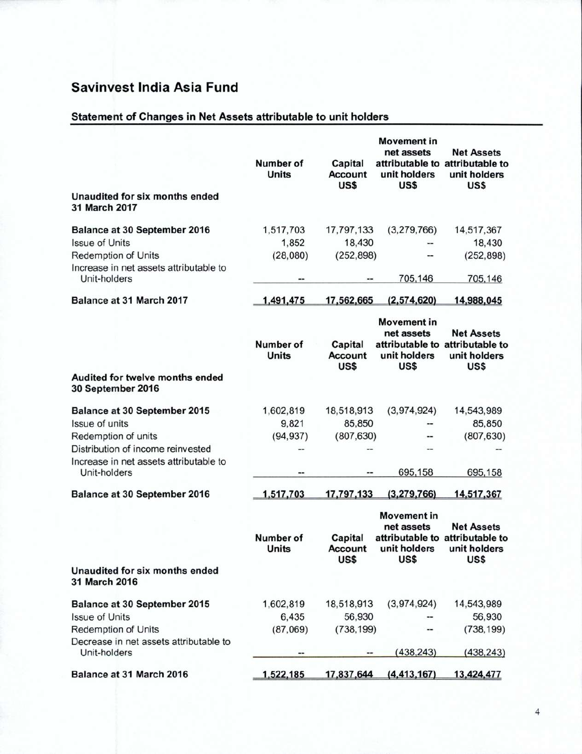## **Statement of Changes in Net Assets attributable to unit holders**

|                                                        | Number of<br><b>Units</b> | Capital<br><b>Account</b><br>US\$ | <b>Movement</b> in<br>net assets<br>unit holders<br>US\$ | <b>Net Assets</b><br>attributable to attributable to<br>unit holders<br>US\$ |
|--------------------------------------------------------|---------------------------|-----------------------------------|----------------------------------------------------------|------------------------------------------------------------------------------|
| Unaudited for six months ended<br>31 March 2017        |                           |                                   |                                                          |                                                                              |
| <b>Balance at 30 September 2016</b>                    | 1,517,703                 | 17,797,133                        | (3,279,766)                                              | 14,517,367                                                                   |
| <b>Issue of Units</b>                                  | 1,852                     | 18,430                            |                                                          | 18,430                                                                       |
| <b>Redemption of Units</b>                             | (28,080)                  | (252, 898)                        |                                                          | (252, 898)                                                                   |
| Increase in net assets attributable to<br>Unit-holders | --                        |                                   | 705,146                                                  | 705,146                                                                      |
| Balance at 31 March 2017                               | 1,491,475                 | 17,562,665                        | (2,574,620)                                              | 14,988,045                                                                   |
|                                                        | <b>Number of</b>          | Capital                           | <b>Movement in</b><br>net assets                         | <b>Net Assets</b><br>attributable to attributable to                         |
|                                                        | <b>Units</b>              | <b>Account</b><br>US\$            | unit holders<br>US\$                                     | unit holders<br>US\$                                                         |
| Audited for twelve months ended<br>30 September 2016   |                           |                                   |                                                          |                                                                              |
| <b>Balance at 30 September 2015</b>                    | 1,602,819                 | 18,518,913                        | (3,974,924)                                              | 14,543,989                                                                   |
| Issue of units                                         | 9,821                     | 85,850                            |                                                          | 85,850                                                                       |
| Redemption of units                                    | (94, 937)                 | (807, 630)                        |                                                          | (807, 630)                                                                   |
| Distribution of income reinvested                      |                           |                                   |                                                          |                                                                              |
| Increase in net assets attributable to<br>Unit-holders |                           |                                   | 695,158                                                  | 695,158                                                                      |
| Balance at 30 September 2016                           | 1,517,703                 | 17,797,133                        | (3,279,766)                                              | 14,517,367                                                                   |
|                                                        | Number of<br><b>Units</b> | Capital<br><b>Account</b><br>US\$ | <b>Movement in</b><br>net assets<br>unit holders<br>US\$ | <b>Net Assets</b><br>attributable to attributable to<br>unit holders<br>US\$ |
| Unaudited for six months ended<br>31 March 2016        |                           |                                   |                                                          |                                                                              |
| Balance at 30 September 2015                           | 1,602,819                 | 18,518,913                        | (3,974,924)                                              | 14,543,989                                                                   |
| <b>Issue of Units</b>                                  | 6,435                     | 56,930                            |                                                          | 56,930                                                                       |
| Redemption of Units                                    | (87,069)                  | (738, 199)                        |                                                          | (738, 199)                                                                   |
| Decrease in net assets attributable to<br>Unit-holders | --                        |                                   | (438, 243)                                               | (438, 243)                                                                   |
| Balance at 31 March 2016                               | 1,522,185                 | 17,837,644                        | (4, 413, 167)                                            | 13,424,477                                                                   |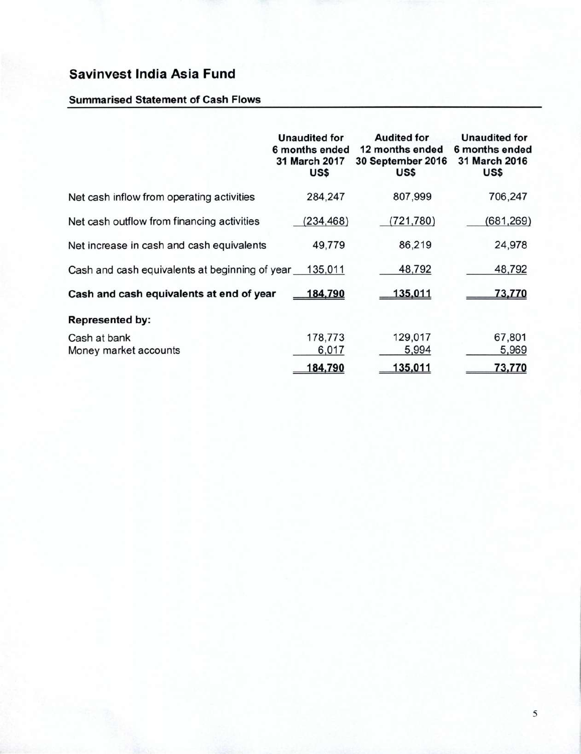### **Summarised Statement of Cash Flows**

|                                                | <b>Unaudited for</b><br>6 months ended<br>31 March 2017<br>US\$ | <b>Audited for</b><br>12 months ended<br>30 September 2016<br>US\$ | <b>Unaudited for</b><br>6 months ended<br>31 March 2016<br>US\$ |
|------------------------------------------------|-----------------------------------------------------------------|--------------------------------------------------------------------|-----------------------------------------------------------------|
| Net cash inflow from operating activities      | 284,247                                                         | 807,999                                                            | 706,247                                                         |
| Net cash outflow from financing activities     | (234, 468)                                                      | (721, 780)                                                         | (681, 269)                                                      |
| Net increase in cash and cash equivalents      | 49,779                                                          | 86,219                                                             | 24,978                                                          |
| Cash and cash equivalents at beginning of year | 135,011                                                         | 48,792                                                             | 48,792                                                          |
| Cash and cash equivalents at end of year       | 184,790                                                         | 135,011                                                            | 73,770                                                          |
| <b>Represented by:</b>                         |                                                                 |                                                                    |                                                                 |
| Cash at bank                                   | 178,773                                                         | 129,017                                                            | 67,801                                                          |
| Money market accounts                          | 6,017                                                           | 5,994                                                              | 5,969                                                           |
|                                                | 184,790                                                         | 135,011                                                            | 73,770                                                          |